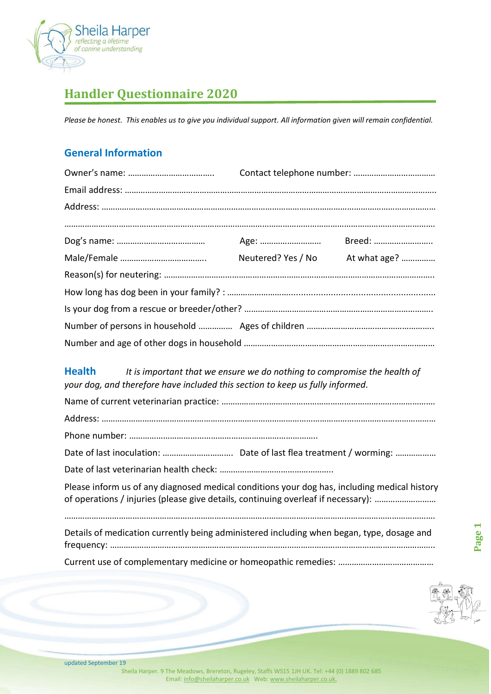

# **Handler Questionnaire 2020**

*Please be honest. This enables us to give you individual support. All information given will remain confidential.*

#### **General Information**

|  | Neutered? Yes / No | At what age? |  |  |
|--|--------------------|--------------|--|--|
|  |                    |              |  |  |
|  |                    |              |  |  |
|  |                    |              |  |  |
|  |                    |              |  |  |
|  |                    |              |  |  |

**Health** *It is important that we ensure we do nothing to compromise the health of your dog, and therefore have included this section to keep us fully informed.*

| Please inform us of any diagnosed medical conditions your dog has, including medical history<br>of operations / injuries (please give details, continuing overleaf if necessary): |
|-----------------------------------------------------------------------------------------------------------------------------------------------------------------------------------|
| Details of medication currently being administered including when began, type, dosage and                                                                                         |
|                                                                                                                                                                                   |



**Page 1**